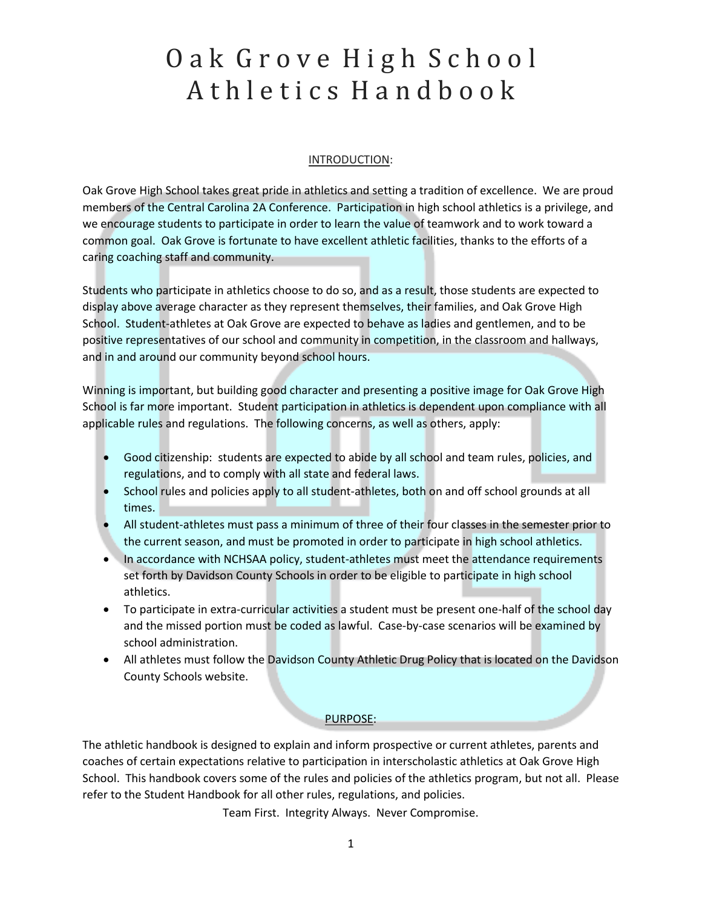# Oak Grove High School A th l e tics H a n d b o o k

#### INTRODUCTION:

Oak Grove High School takes great pride in athletics and setting a tradition of excellence. We are proud members of the Central Carolina 2A Conference. Participation in high school athletics is a privilege, and we encourage students to participate in order to learn the value of teamwork and to work toward a common goal. Oak Grove is fortunate to have excellent athletic facilities, thanks to the efforts of a caring coaching staff and community.

Students who participate in athletics choose to do so, and as a result, those students are expected to display above average character as they represent themselves, their families, and Oak Grove High School. Student-athletes at Oak Grove are expected to behave as ladies and gentlemen, and to be positive representatives of our school and community in competition, in the classroom and hallways, and in and around our community beyond school hours.

Winning is important, but building good character and presenting a positive image for Oak Grove High School is far more important. Student participation in athletics is dependent upon compliance with all applicable rules and regulations. The following concerns, as well as others, apply:

- Good citizenship: students are expected to abide by all school and team rules, policies, and regulations, and to comply with all state and federal laws.
- School rules and policies apply to all student-athletes, both on and off school grounds at all times.
- All student-athletes must pass a minimum of three of their four classes in the semester prior to the current season, and must be promoted in order to participate in high school athletics.
- In accordance with NCHSAA policy, student-athletes must meet the attendance requirements set forth by Davidson County Schools in order to be eligible to participate in high school athletics.
- To participate in extra-curricular activities a student must be present one-half of the school day and the missed portion must be coded as lawful. Case-by-case scenarios will be examined by school administration.
- All athletes must follow the Davidson County Athletic Drug Policy that is located on the Davidson County Schools website.

#### PURPOSE:

The athletic handbook is designed to explain and inform prospective or current athletes, parents and coaches of certain expectations relative to participation in interscholastic athletics at Oak Grove High School. This handbook covers some of the rules and policies of the athletics program, but not all. Please refer to the Student Handbook for all other rules, regulations, and policies.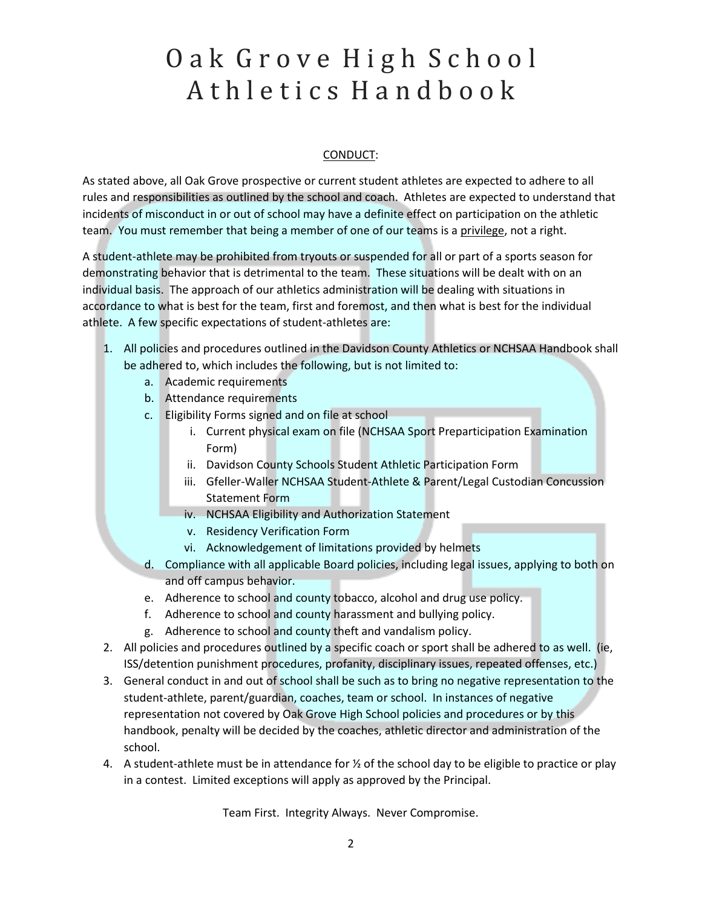# Oak Grove High School A th l e tics H a n d b o o k

#### CONDUCT:

As stated above, all Oak Grove prospective or current student athletes are expected to adhere to all rules and responsibilities as outlined by the school and coach. Athletes are expected to understand that incidents of misconduct in or out of school may have a definite effect on participation on the athletic team. You must remember that being a member of one of our teams is a privilege, not a right.

A student-athlete may be prohibited from tryouts or suspended for all or part of a sports season for demonstrating behavior that is detrimental to the team. These situations will be dealt with on an individual basis. The approach of our athletics administration will be dealing with situations in accordance to what is best for the team, first and foremost, and then what is best for the individual athlete. A few specific expectations of student-athletes are:

- 1. All policies and procedures outlined in the Davidson County Athletics or NCHSAA Handbook shall be adhered to, which includes the following, but is not limited to:
	- a. Academic requirements
	- b. Attendance requirements
	- c. Eligibility Forms signed and on file at school
		- i. Current physical exam on file (NCHSAA Sport Preparticipation Examination Form)
		- ii. Davidson County Schools Student Athletic Participation Form
		- iii. Gfeller-Waller NCHSAA Student-Athlete & Parent/Legal Custodian Concussion Statement Form
		- iv. NCHSAA Eligibility and Authorization Statement
		- v. Residency Verification Form
		- vi. Acknowledgement of limitations provided by helmets
	- d. Compliance with all applicable Board policies, including legal issues, applying to both on and off campus behavior.
	- e. Adherence to school and county tobacco, alcohol and drug use policy.
	- f. Adherence to school and county harassment and bullying policy.
	- g. Adherence to school and county theft and vandalism policy.
- 2. All policies and procedures outlined by a specific coach or sport shall be adhered to as well. (ie, ISS/detention punishment procedures, profanity, disciplinary issues, repeated offenses, etc.)
- 3. General conduct in and out of school shall be such as to bring no negative representation to the student-athlete, parent/guardian, coaches, team or school. In instances of negative representation not covered by Oak Grove High School policies and procedures or by this handbook, penalty will be decided by the coaches, athletic director and administration of the school.
- 4. A student-athlete must be in attendance for ½ of the school day to be eligible to practice or play in a contest. Limited exceptions will apply as approved by the Principal.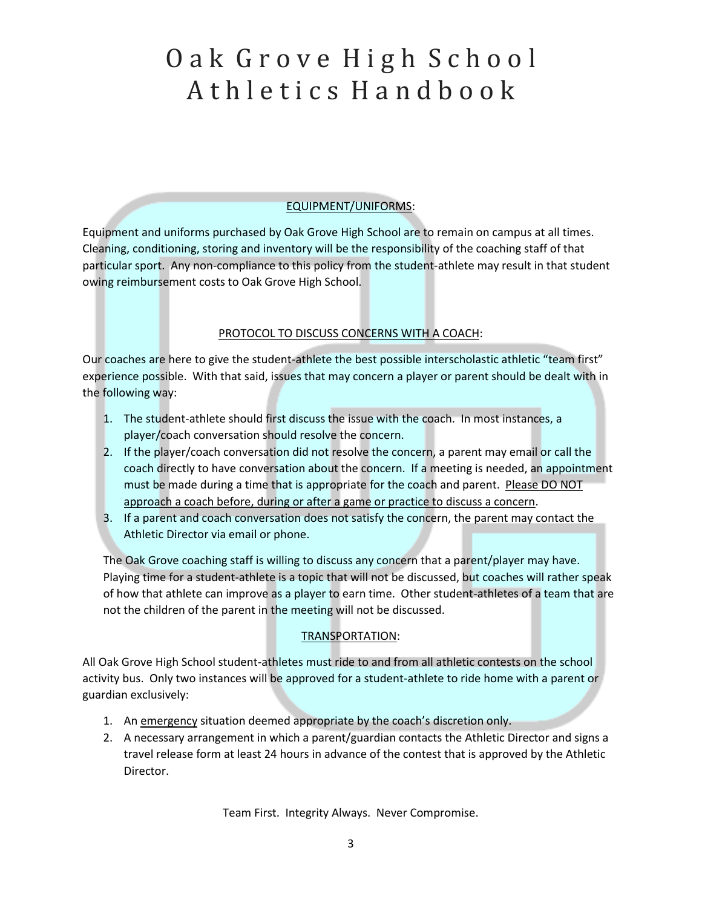# Oak Grove High School Athletics Handbook

### EQUIPMENT/UNIFORMS:

Equipment and uniforms purchased by Oak Grove High School are to remain on campus at all times. Cleaning, conditioning, storing and inventory will be the responsibility of the coaching staff of that particular sport. Any non-compliance to this policy from the student-athlete may result in that student owing reimbursement costs to Oak Grove High School.

### PROTOCOL TO DISCUSS CONCERNS WITH A COACH:

Our coaches are here to give the student-athlete the best possible interscholastic athletic "team first" experience possible. With that said, issues that may concern a player or parent should be dealt with in the following way:

- 1. The student-athlete should first discuss the issue with the coach. In most instances, a player/coach conversation should resolve the concern.
- 2. If the player/coach conversation did not resolve the concern, a parent may email or call the coach directly to have conversation about the concern. If a meeting is needed, an appointment must be made during a time that is appropriate for the coach and parent. Please DO NOT approach a coach before, during or after a game or practice to discuss a concern.
- 3. If a parent and coach conversation does not satisfy the concern, the parent may contact the Athletic Director via email or phone.

The Oak Grove coaching staff is willing to discuss any concern that a parent/player may have. Playing time for a student-athlete is a topic that will not be discussed, but coaches will rather speak of how that athlete can improve as a player to earn time. Other student-athletes of a team that are not the children of the parent in the meeting will not be discussed.

### TRANSPORTATION:

All Oak Grove High School student-athletes must ride to and from all athletic contests on the school activity bus. Only two instances will be approved for a student-athlete to ride home with a parent or guardian exclusively:

- 1. An emergency situation deemed appropriate by the coach's discretion only.
- 2. A necessary arrangement in which a parent/guardian contacts the Athletic Director and signs a travel release form at least 24 hours in advance of the contest that is approved by the Athletic Director.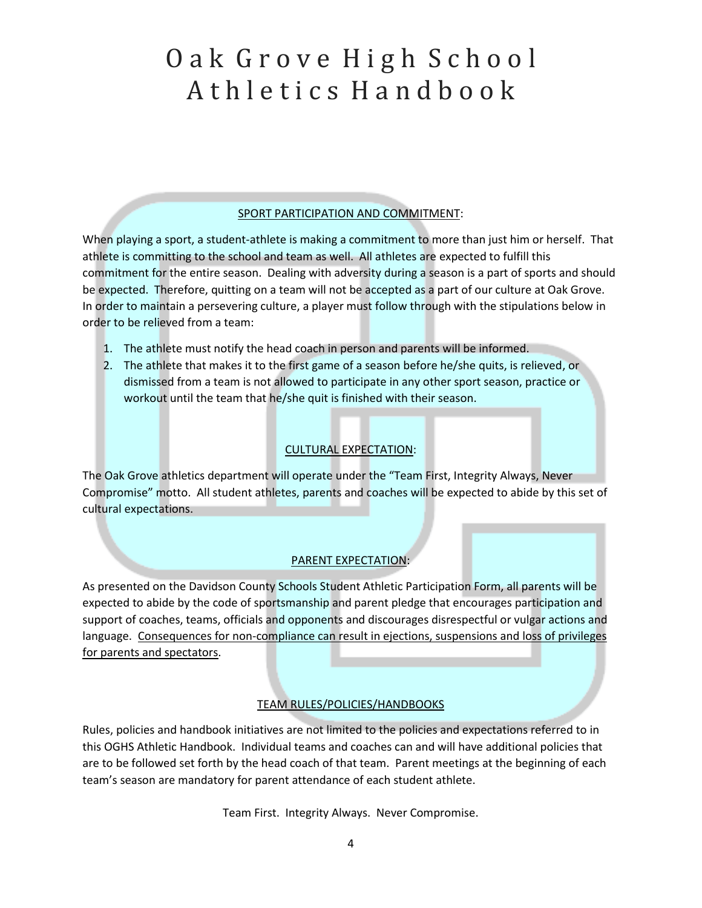# Oak Grove High School Athletics Handbook

### SPORT PARTICIPATION AND COMMITMENT:

When playing a sport, a student-athlete is making a commitment to more than just him or herself. That athlete is committing to the school and team as well. All athletes are expected to fulfill this commitment for the entire season. Dealing with adversity during a season is a part of sports and should be expected. Therefore, quitting on a team will not be accepted as a part of our culture at Oak Grove. In order to maintain a persevering culture, a player must follow through with the stipulations below in order to be relieved from a team:

- 1. The athlete must notify the head coach in person and parents will be informed.
- 2. The athlete that makes it to the first game of a season before he/she quits, is relieved, or dismissed from a team is not allowed to participate in any other sport season, practice or workout until the team that he/she quit is finished with their season.

### CULTURAL EXPECTATION:

The Oak Grove athletics department will operate under the "Team First, Integrity Always, Never Compromise" motto. All student athletes, parents and coaches will be expected to abide by this set of cultural expectations.

### PARENT EXPECTATION:

As presented on the Davidson County Schools Student Athletic Participation Form, all parents will be expected to abide by the code of sportsmanship and parent pledge that encourages participation and support of coaches, teams, officials and opponents and discourages disrespectful or vulgar actions and language. Consequences for non-compliance can result in ejections, suspensions and loss of privileges for parents and spectators.

### TEAM RULES/POLICIES/HANDBOOKS

Rules, policies and handbook initiatives are not limited to the policies and expectations referred to in this OGHS Athletic Handbook. Individual teams and coaches can and will have additional policies that are to be followed set forth by the head coach of that team. Parent meetings at the beginning of each team's season are mandatory for parent attendance of each student athlete.